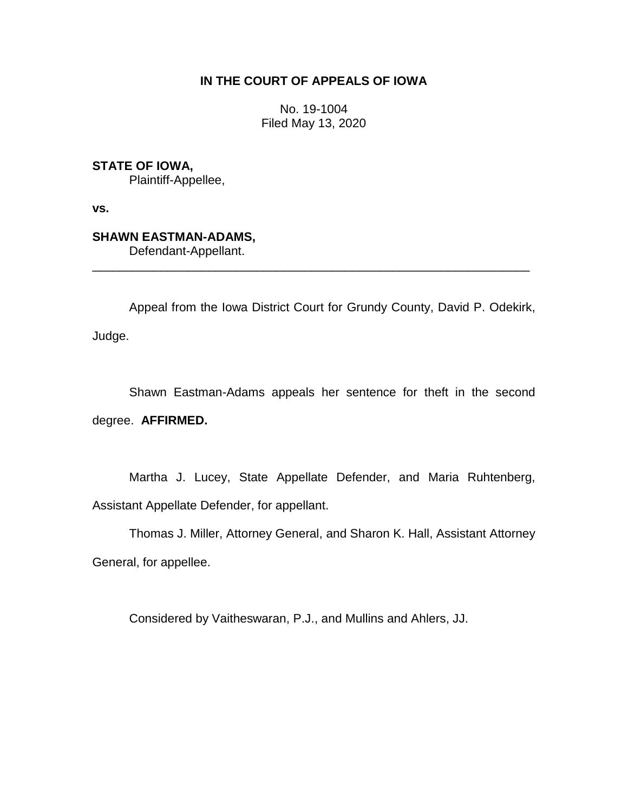## **IN THE COURT OF APPEALS OF IOWA**

No. 19-1004 Filed May 13, 2020

**STATE OF IOWA,**

Plaintiff-Appellee,

**vs.**

## **SHAWN EASTMAN-ADAMS,**

Defendant-Appellant.

Appeal from the Iowa District Court for Grundy County, David P. Odekirk, Judge.

\_\_\_\_\_\_\_\_\_\_\_\_\_\_\_\_\_\_\_\_\_\_\_\_\_\_\_\_\_\_\_\_\_\_\_\_\_\_\_\_\_\_\_\_\_\_\_\_\_\_\_\_\_\_\_\_\_\_\_\_\_\_\_\_

Shawn Eastman-Adams appeals her sentence for theft in the second degree. **AFFIRMED.**

Martha J. Lucey, State Appellate Defender, and Maria Ruhtenberg, Assistant Appellate Defender, for appellant.

Thomas J. Miller, Attorney General, and Sharon K. Hall, Assistant Attorney General, for appellee.

Considered by Vaitheswaran, P.J., and Mullins and Ahlers, JJ.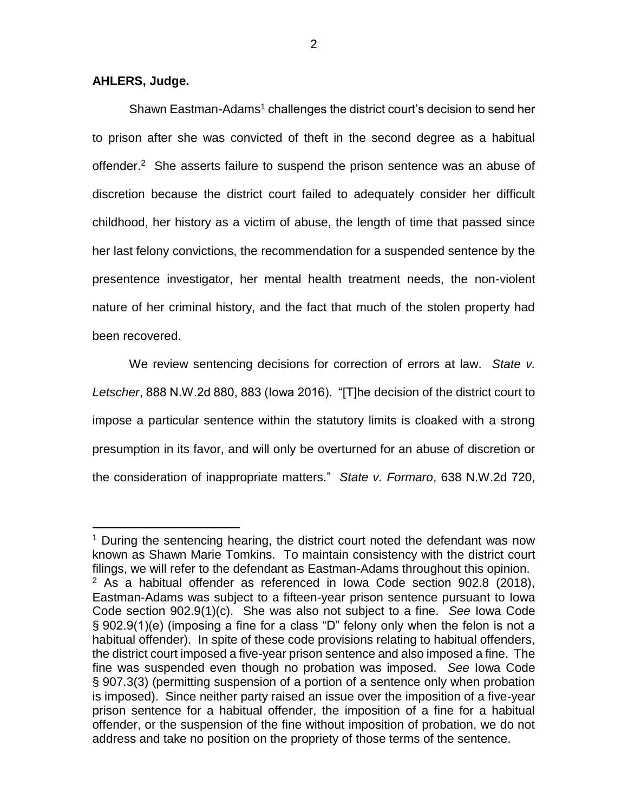## **AHLERS, Judge.**

 $\overline{a}$ 

Shawn Eastman-Adams<sup>1</sup> challenges the district court's decision to send her to prison after she was convicted of theft in the second degree as a habitual offender.<sup>2</sup> She asserts failure to suspend the prison sentence was an abuse of discretion because the district court failed to adequately consider her difficult childhood, her history as a victim of abuse, the length of time that passed since her last felony convictions, the recommendation for a suspended sentence by the presentence investigator, her mental health treatment needs, the non-violent nature of her criminal history, and the fact that much of the stolen property had been recovered.

We review sentencing decisions for correction of errors at law. *State v. Letscher*, 888 N.W.2d 880, 883 (Iowa 2016). "[T]he decision of the district court to impose a particular sentence within the statutory limits is cloaked with a strong presumption in its favor, and will only be overturned for an abuse of discretion or the consideration of inappropriate matters." *State v. Formaro*, 638 N.W.2d 720,

<sup>&</sup>lt;sup>1</sup> During the sentencing hearing, the district court noted the defendant was now known as Shawn Marie Tomkins. To maintain consistency with the district court filings, we will refer to the defendant as Eastman-Adams throughout this opinion.  $2$  As a habitual offender as referenced in Iowa Code section 902.8 (2018), Eastman-Adams was subject to a fifteen-year prison sentence pursuant to Iowa Code section 902.9(1)(c). She was also not subject to a fine. *See* Iowa Code § 902.9(1)(e) (imposing a fine for a class "D" felony only when the felon is not a habitual offender). In spite of these code provisions relating to habitual offenders, the district court imposed a five-year prison sentence and also imposed a fine. The fine was suspended even though no probation was imposed. *See* Iowa Code § 907.3(3) (permitting suspension of a portion of a sentence only when probation is imposed). Since neither party raised an issue over the imposition of a five-year prison sentence for a habitual offender, the imposition of a fine for a habitual offender, or the suspension of the fine without imposition of probation, we do not address and take no position on the propriety of those terms of the sentence.